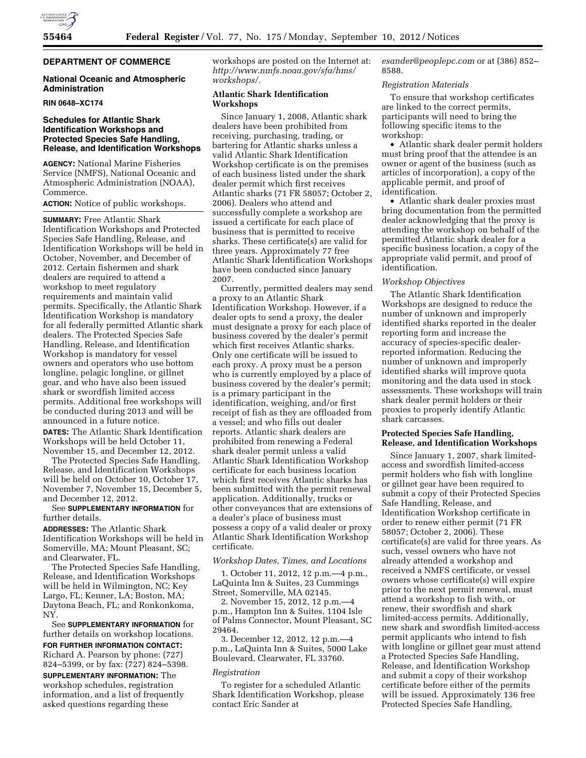

# **DEPARTMENT OF COMMERCE**

## **National Oceanic and Atmospheric Administration**

#### **RIN 0648–XC174**

# **Schedules for Atlantic Shark Identification Workshops and Protected Species Safe Handling, Release, and Identification Workshops**

**AGENCY:** National Marine Fisheries Service (NMFS), National Oceanic and Atmospheric Administration (NOAA), Commerce.

## **ACTION:** Notice of public workshops.

**SUMMARY:** Free Atlantic Shark Identification Workshops and Protected Species Safe Handling, Release, and Identification Workshops will be held in October, November, and December of 2012. Certain fishermen and shark dealers are required to attend a workshop to meet regulatory requirements and maintain valid permits. Specifically, the Atlantic Shark Identification Workshop is mandatory for all federally permitted Atlantic shark dealers. The Protected Species Safe Handling, Release, and Identification Workshop is mandatory for vessel owners and operators who use bottom longline, pelagic longline, or gillnet gear, and who have also been issued shark or swordfish limited access permits. Additional free workshops will be conducted during 2013 and will be announced in a future notice.

**DATES:** The Atlantic Shark Identification Workshops will be held October 11, November 15, and December 12, 2012.

The Protected Species Safe Handling, Release, and Identification Workshops will be held on October 10, October 17, November 7, November 15, December 5, and December 12, 2012.

# See **SUPPLEMENTARY INFORMATION** for further details.

**ADDRESSES:** The Atlantic Shark Identification Workshops will be held in Somerville, MA; Mount Pleasant, SC; and Clearwater, FL.

The Protected Species Safe Handling, Release, and Identification Workshops will be held in Wilmington, NC; Key Largo, FL; Kenner, LA; Boston, MA; Daytona Beach, FL; and Ronkonkoma, NY.

See **SUPPLEMENTARY INFORMATION** for further details on workshop locations.

**FOR FURTHER INFORMATION CONTACT:**  Richard A. Pearson by phone: (727) 824–5399, or by fax: (727) 824–5398. **SUPPLEMENTARY INFORMATION:** The workshop schedules, registration

information, and a list of frequently asked questions regarding these

workshops are posted on the Internet at: *[http://www.nmfs.noaa.gov/sfa/hms/](http://www.nmfs.noaa.gov/sfa/hms/workshops/)  [workshops/.](http://www.nmfs.noaa.gov/sfa/hms/workshops/)* 

## **Atlantic Shark Identification Workshops**

Since January 1, 2008, Atlantic shark dealers have been prohibited from receiving, purchasing, trading, or bartering for Atlantic sharks unless a valid Atlantic Shark Identification Workshop certificate is on the premises of each business listed under the shark dealer permit which first receives Atlantic sharks (71 FR 58057; October 2, 2006). Dealers who attend and successfully complete a workshop are issued a certificate for each place of business that is permitted to receive sharks. These certificate(s) are valid for three years. Approximately 77 free Atlantic Shark Identification Workshops have been conducted since January 2007.

Currently, permitted dealers may send a proxy to an Atlantic Shark Identification Workshop. However, if a dealer opts to send a proxy, the dealer must designate a proxy for each place of business covered by the dealer's permit which first receives Atlantic sharks. Only one certificate will be issued to each proxy. A proxy must be a person who is currently employed by a place of business covered by the dealer's permit; is a primary participant in the identification, weighing, and/or first receipt of fish as they are offloaded from a vessel; and who fills out dealer reports. Atlantic shark dealers are prohibited from renewing a Federal shark dealer permit unless a valid Atlantic Shark Identification Workshop certificate for each business location which first receives Atlantic sharks has been submitted with the permit renewal application. Additionally, trucks or other conveyances that are extensions of a dealer's place of business must possess a copy of a valid dealer or proxy Atlantic Shark Identification Workshop certificate.

## *Workshop Dates, Times, and Locations*

1. October 11, 2012, 12 p.m.—4 p.m., LaQuinta Inn & Suites, 23 Cummings Street, Somerville, MA 02145.

2. November 15, 2012, 12 p.m.—4 p.m., Hampton Inn & Suites, 1104 Isle of Palms Connector, Mount Pleasant, SC 29464.

3. December 12, 2012, 12 p.m.—4 p.m., LaQuinta Inn & Suites, 5000 Lake Boulevard, Clearwater, FL 33760.

# *Registration*

To register for a scheduled Atlantic Shark Identification Workshop, please contact Eric Sander at

*[esander@peoplepc.com](mailto:esander@peoplepc.com)* or at (386) 852– 8588.

## *Registration Materials*

To ensure that workshop certificates are linked to the correct permits, participants will need to bring the following specific items to the workshop:

• Atlantic shark dealer permit holders must bring proof that the attendee is an owner or agent of the business (such as articles of incorporation), a copy of the applicable permit, and proof of identification.

• Atlantic shark dealer proxies must bring documentation from the permitted dealer acknowledging that the proxy is attending the workshop on behalf of the permitted Atlantic shark dealer for a specific business location, a copy of the appropriate valid permit, and proof of identification.

## *Workshop Objectives*

The Atlantic Shark Identification Workshops are designed to reduce the number of unknown and improperly identified sharks reported in the dealer reporting form and increase the accuracy of species-specific dealerreported information. Reducing the number of unknown and improperly identified sharks will improve quota monitoring and the data used in stock assessments. These workshops will train shark dealer permit holders or their proxies to properly identify Atlantic shark carcasses.

## **Protected Species Safe Handling, Release, and Identification Workshops**

Since January 1, 2007, shark limitedaccess and swordfish limited-access permit holders who fish with longline or gillnet gear have been required to submit a copy of their Protected Species Safe Handling, Release, and Identification Workshop certificate in order to renew either permit (71 FR 58057; October 2, 2006). These certificate(s) are valid for three years. As such, vessel owners who have not already attended a workshop and received a NMFS certificate, or vessel owners whose certificate(s) will expire prior to the next permit renewal, must attend a workshop to fish with, or renew, their swordfish and shark limited-access permits. Additionally, new shark and swordfish limited-access permit applicants who intend to fish with longline or gillnet gear must attend a Protected Species Safe Handling, Release, and Identification Workshop and submit a copy of their workshop certificate before either of the permits will be issued. Approximately 136 free Protected Species Safe Handling,